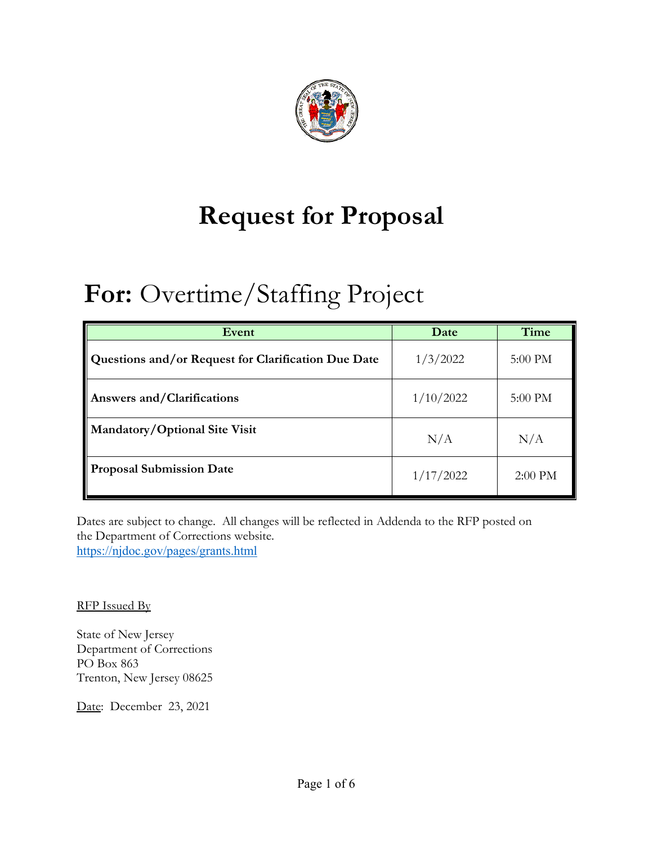

# **Request for Proposal**

# **For:** Overtime/Staffing Project

| Event                                               | Date      | Time      |
|-----------------------------------------------------|-----------|-----------|
| Questions and/or Request for Clarification Due Date | 1/3/2022  | 5:00 PM   |
| <b>Answers and/Clarifications</b>                   | 1/10/2022 | 5:00 PM   |
| Mandatory/Optional Site Visit                       | N/A       | N/A       |
| <b>Proposal Submission Date</b>                     | 1/17/2022 | $2:00$ PM |

Dates are subject to change. All changes will be reflected in Addenda to the RFP posted on the Department of Corrections website. https://njdoc.gov/pages/grants.html

RFP Issued By

State of New Jersey Department of Corrections PO Box 863 Trenton, New Jersey 08625

Date: December 23, 2021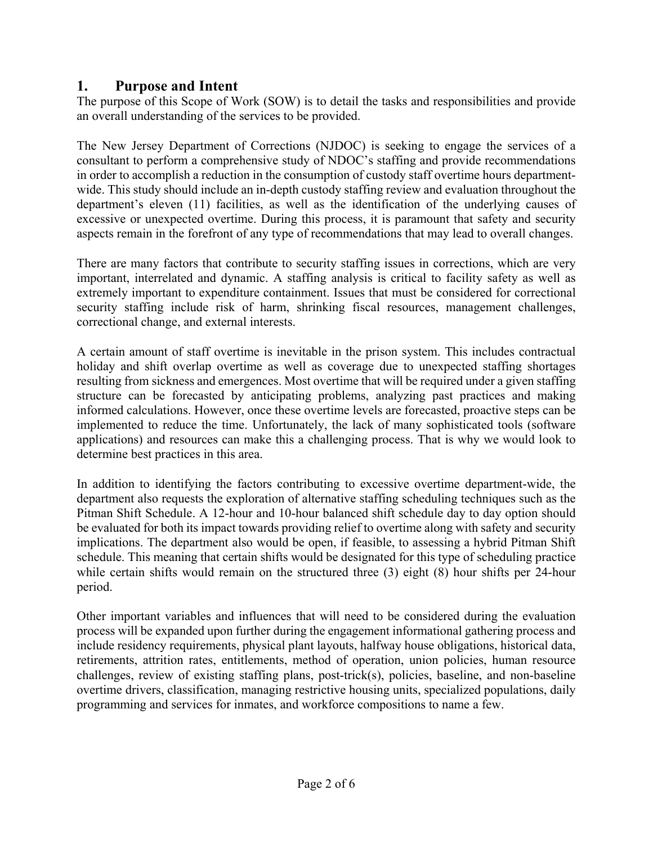#### **1. Purpose and Intent**

The purpose of this Scope of Work (SOW) is to detail the tasks and responsibilities and provide an overall understanding of the services to be provided.

The New Jersey Department of Corrections (NJDOC) is seeking to engage the services of a consultant to perform a comprehensive study of NDOC's staffing and provide recommendations in order to accomplish a reduction in the consumption of custody staff overtime hours departmentwide. This study should include an in-depth custody staffing review and evaluation throughout the department's eleven (11) facilities, as well as the identification of the underlying causes of excessive or unexpected overtime. During this process, it is paramount that safety and security aspects remain in the forefront of any type of recommendations that may lead to overall changes.

There are many factors that contribute to security staffing issues in corrections, which are very important, interrelated and dynamic. A staffing analysis is critical to facility safety as well as extremely important to expenditure containment. Issues that must be considered for correctional security staffing include risk of harm, shrinking fiscal resources, management challenges, correctional change, and external interests.

A certain amount of staff overtime is inevitable in the prison system. This includes contractual holiday and shift overlap overtime as well as coverage due to unexpected staffing shortages resulting from sickness and emergences. Most overtime that will be required under a given staffing structure can be forecasted by anticipating problems, analyzing past practices and making informed calculations. However, once these overtime levels are forecasted, proactive steps can be implemented to reduce the time. Unfortunately, the lack of many sophisticated tools (software applications) and resources can make this a challenging process. That is why we would look to determine best practices in this area.

In addition to identifying the factors contributing to excessive overtime department-wide, the department also requests the exploration of alternative staffing scheduling techniques such as the Pitman Shift Schedule. A 12-hour and 10-hour balanced shift schedule day to day option should be evaluated for both its impact towards providing relief to overtime along with safety and security implications. The department also would be open, if feasible, to assessing a hybrid Pitman Shift schedule. This meaning that certain shifts would be designated for this type of scheduling practice while certain shifts would remain on the structured three (3) eight (8) hour shifts per 24-hour period.

Other important variables and influences that will need to be considered during the evaluation process will be expanded upon further during the engagement informational gathering process and include residency requirements, physical plant layouts, halfway house obligations, historical data, retirements, attrition rates, entitlements, method of operation, union policies, human resource challenges, review of existing staffing plans, post-trick(s), policies, baseline, and non-baseline overtime drivers, classification, managing restrictive housing units, specialized populations, daily programming and services for inmates, and workforce compositions to name a few.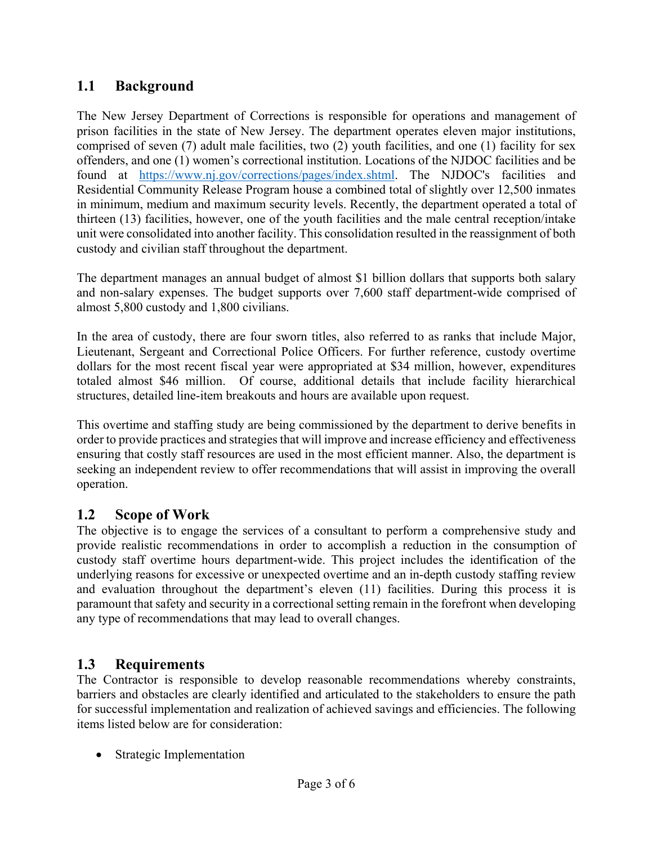## **1.1 Background**

The New Jersey Department of Corrections is responsible for operations and management of prison facilities in the state of New Jersey. The department operates eleven major institutions, comprised of seven (7) adult male facilities, two (2) youth facilities, and one (1) facility for sex offenders, and one (1) women's correctional institution. Locations of the NJDOC facilities and be found at https://www.nj.gov/corrections/pages/index.shtml. The NJDOC's facilities and Residential Community Release Program house a combined total of slightly over 12,500 inmates in minimum, medium and maximum security levels. Recently, the department operated a total of thirteen (13) facilities, however, one of the youth facilities and the male central reception/intake unit were consolidated into another facility. This consolidation resulted in the reassignment of both custody and civilian staff throughout the department.

The department manages an annual budget of almost \$1 billion dollars that supports both salary and non-salary expenses. The budget supports over 7,600 staff department-wide comprised of almost 5,800 custody and 1,800 civilians.

In the area of custody, there are four sworn titles, also referred to as ranks that include Major, Lieutenant, Sergeant and Correctional Police Officers. For further reference, custody overtime dollars for the most recent fiscal year were appropriated at \$34 million, however, expenditures totaled almost \$46 million. Of course, additional details that include facility hierarchical structures, detailed line-item breakouts and hours are available upon request.

This overtime and staffing study are being commissioned by the department to derive benefits in order to provide practices and strategies that will improve and increase efficiency and effectiveness ensuring that costly staff resources are used in the most efficient manner. Also, the department is seeking an independent review to offer recommendations that will assist in improving the overall operation.

## **1.2 Scope of Work**

The objective is to engage the services of a consultant to perform a comprehensive study and provide realistic recommendations in order to accomplish a reduction in the consumption of custody staff overtime hours department-wide. This project includes the identification of the underlying reasons for excessive or unexpected overtime and an in-depth custody staffing review and evaluation throughout the department's eleven (11) facilities. During this process it is paramount that safety and security in a correctional setting remain in the forefront when developing any type of recommendations that may lead to overall changes.

## **1.3 Requirements**

The Contractor is responsible to develop reasonable recommendations whereby constraints, barriers and obstacles are clearly identified and articulated to the stakeholders to ensure the path for successful implementation and realization of achieved savings and efficiencies. The following items listed below are for consideration:

• Strategic Implementation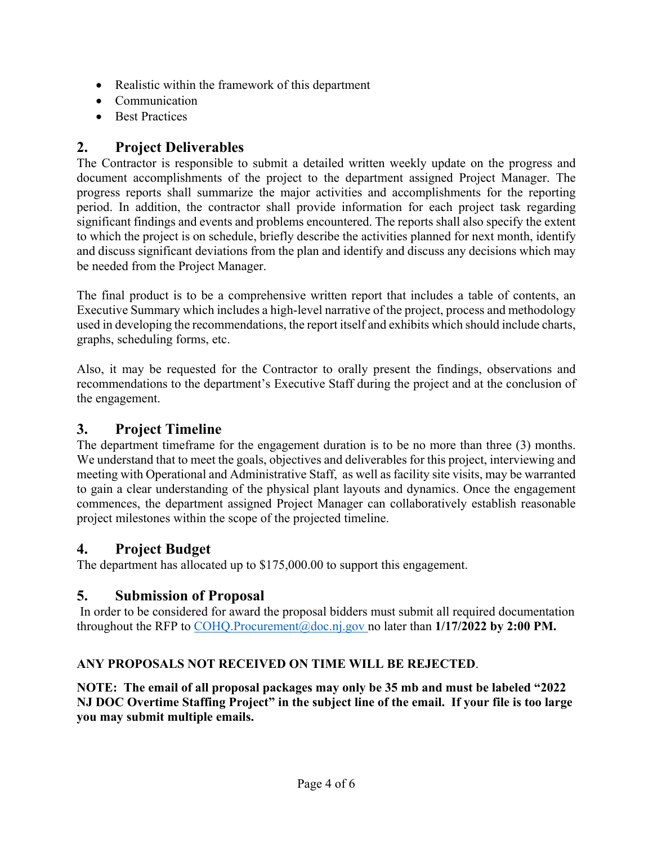- Realistic within the framework of this department
- Communication
- Best Practices

## **2. Project Deliverables**

The Contractor is responsible to submit a detailed written weekly update on the progress and document accomplishments of the project to the department assigned Project Manager. The progress reports shall summarize the major activities and accomplishments for the reporting period. In addition, the contractor shall provide information for each project task regarding significant findings and events and problems encountered. The reports shall also specify the extent to which the project is on schedule, briefly describe the activities planned for next month, identify and discuss significant deviations from the plan and identify and discuss any decisions which may be needed from the Project Manager.

The final product is to be a comprehensive written report that includes a table of contents, an Executive Summary which includes a high-level narrative of the project, process and methodology used in developing the recommendations, the report itself and exhibits which should include charts, graphs, scheduling forms, etc.

Also, it may be requested for the Contractor to orally present the findings, observations and recommendations to the department's Executive Staff during the project and at the conclusion of the engagement.

# **3. Project Timeline**

The department timeframe for the engagement duration is to be no more than three (3) months. We understand that to meet the goals, objectives and deliverables for this project, interviewing and meeting with Operational and Administrative Staff, as well as facility site visits, may be warranted to gain a clear understanding of the physical plant layouts and dynamics. Once the engagement commences, the department assigned Project Manager can collaboratively establish reasonable project milestones within the scope of the projected timeline.

## **4. Project Budget**

The department has allocated up to \$175,000.00 to support this engagement.

# **5. Submission of Proposal**

 In order to be considered for award the proposal bidders must submit all required documentation throughout the RFP to COHQ.Procurement@doc.nj.gov no later than 1/17/2022 by 2:00 PM.

## **ANY PROPOSALS NOT RECEIVED ON TIME WILL BE REJECTED**.

**NOTE: The email of all proposal packages may only be 35 mb and must be labeled "2022 NJ DOC Overtime Staffing Project" in the subject line of the email. If your file is too large you may submit multiple emails.**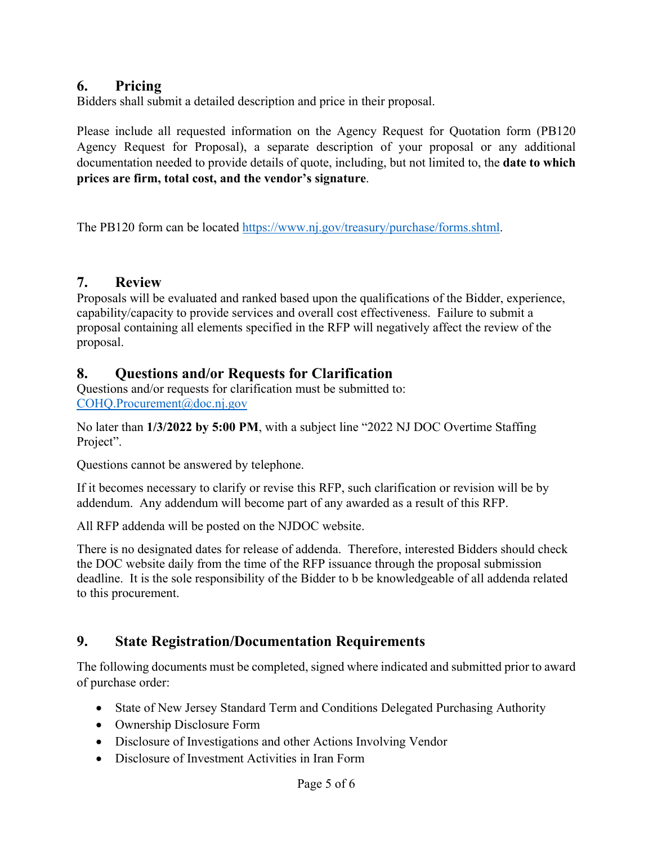#### **6. Pricing**

Bidders shall submit a detailed description and price in their proposal.

Please include all requested information on the Agency Request for Quotation form (PB120 Agency Request for Proposal), a separate description of your proposal or any additional documentation needed to provide details of quote, including, but not limited to, the **date to which prices are firm, total cost, and the vendor's signature**.

The PB120 form can be located https://www.nj.gov/treasury/purchase/forms.shtml.

#### **7. Review**

Proposals will be evaluated and ranked based upon the qualifications of the Bidder, experience, capability/capacity to provide services and overall cost effectiveness. Failure to submit a proposal containing all elements specified in the RFP will negatively affect the review of the proposal.

#### **8. Questions and/or Requests for Clarification**

Questions and/or requests for clarification must be submitted to: COHQ.Procurement@doc.nj.gov

No later than **1/3/2022 by 5:00 PM**, with a subject line "2022 NJ DOC Overtime Staffing Project".

Questions cannot be answered by telephone.

If it becomes necessary to clarify or revise this RFP, such clarification or revision will be by addendum. Any addendum will become part of any awarded as a result of this RFP.

All RFP addenda will be posted on the NJDOC website.

There is no designated dates for release of addenda. Therefore, interested Bidders should check the DOC website daily from the time of the RFP issuance through the proposal submission deadline. It is the sole responsibility of the Bidder to b be knowledgeable of all addenda related to this procurement.

## **9. State Registration/Documentation Requirements**

The following documents must be completed, signed where indicated and submitted prior to award of purchase order:

- State of New Jersey Standard Term and Conditions Delegated Purchasing Authority
- Ownership Disclosure Form
- Disclosure of Investigations and other Actions Involving Vendor
- Disclosure of Investment Activities in Iran Form